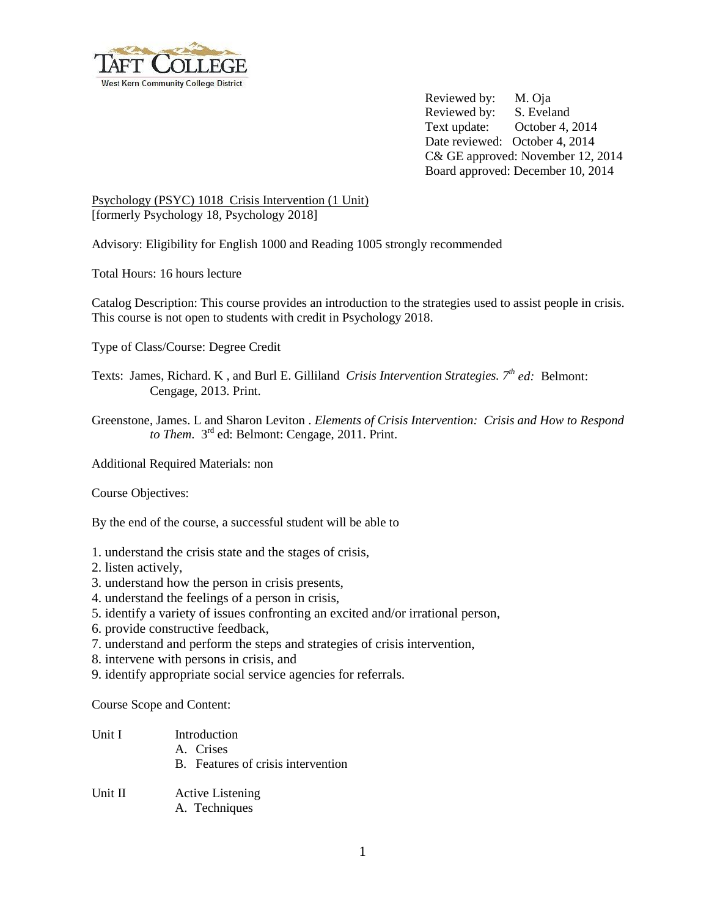

Reviewed by: M. Oja Reviewed by: S. Eveland Text update: October 4, 2014 Date reviewed: October 4, 2014 C& GE approved: November 12, 2014 Board approved: December 10, 2014

Psychology (PSYC) 1018 Crisis Intervention (1 Unit) [formerly Psychology 18, Psychology 2018]

Advisory: Eligibility for English 1000 and Reading 1005 strongly recommended

Total Hours: 16 hours lecture

Catalog Description: This course provides an introduction to the strategies used to assist people in crisis. This course is not open to students with credit in Psychology 2018.

Type of Class/Course: Degree Credit

Texts: James, Richard. K , and Burl E. Gilliland *Crisis Intervention Strategies. 7th ed:* Belmont: Cengage, 2013. Print.

Greenstone, James. L and Sharon Leviton . *Elements of Crisis Intervention: Crisis and How to Respond*  to Them. 3<sup>rd</sup> ed: Belmont: Cengage, 2011. Print.

Additional Required Materials: non

Course Objectives:

By the end of the course, a successful student will be able to

- 1. understand the crisis state and the stages of crisis,
- 2. listen actively,
- 3. understand how the person in crisis presents,
- 4. understand the feelings of a person in crisis,
- 5. identify a variety of issues confronting an excited and/or irrational person,
- 6. provide constructive feedback,
- 7. understand and perform the steps and strategies of crisis intervention,
- 8. intervene with persons in crisis, and
- 9. identify appropriate social service agencies for referrals.

Course Scope and Content:

| Unit I  | Introduction<br>A. Crises<br>B. Features of crisis intervention |
|---------|-----------------------------------------------------------------|
| Unit II | <b>Active Listening</b><br>A. Techniques                        |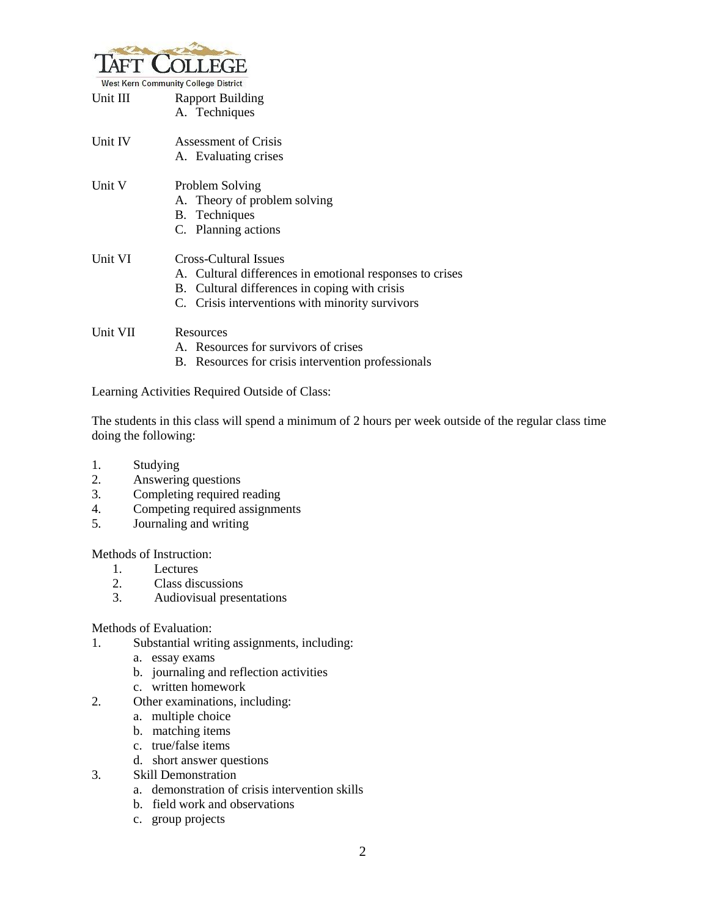

|          | <b>West Kern Community College District</b>              |
|----------|----------------------------------------------------------|
| Unit III | <b>Rapport Building</b>                                  |
|          | A. Techniques                                            |
| Unit IV  | Assessment of Crisis                                     |
|          | A. Evaluating crises                                     |
| Unit V   | Problem Solving                                          |
|          | A. Theory of problem solving                             |
|          | B. Techniques                                            |
|          | C. Planning actions                                      |
| Unit VI  | Cross-Cultural Issues                                    |
|          | A. Cultural differences in emotional responses to crises |
|          | B. Cultural differences in coping with crisis            |
|          | C. Crisis interventions with minority survivors          |
| Unit VII | Resources                                                |
|          | A. Resources for survivors of crises                     |

B. Resources for crisis intervention professionals

Learning Activities Required Outside of Class:

The students in this class will spend a minimum of 2 hours per week outside of the regular class time doing the following:

- 1. Studying
- 2. Answering questions
- 3. Completing required reading
- 4. Competing required assignments
- 5. Journaling and writing

Methods of Instruction:

- 1. Lectures
- 2. Class discussions
- 3. Audiovisual presentations

Methods of Evaluation:

- 1. Substantial writing assignments, including:
	- a. essay exams
	- b. journaling and reflection activities
	- c. written homework
- 2. Other examinations, including:
	- a. multiple choice
	- b. matching items
	- c. true/false items
	- d. short answer questions
- 3. Skill Demonstration
	- a. demonstration of crisis intervention skills
	- b. field work and observations
	- c. group projects